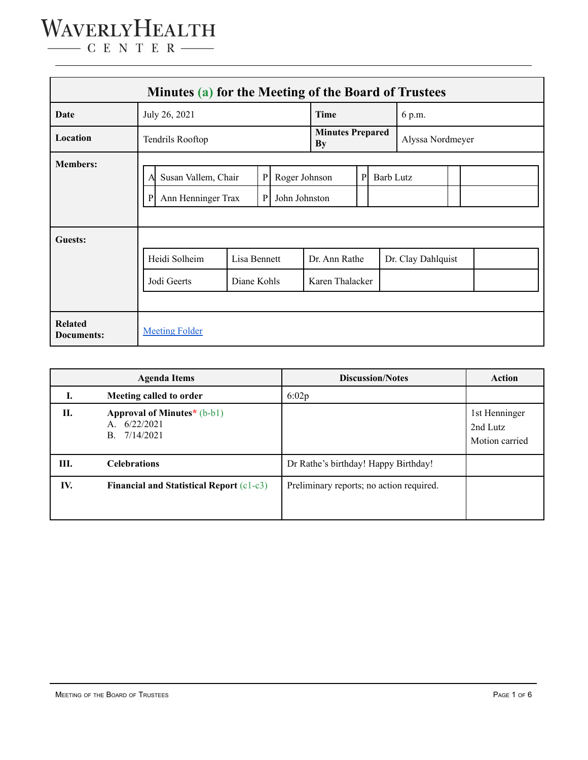### WAVERLYHEALTH  $\begin{tabular}{c} \quad \quad \textbf{C} \textbf{E} \textbf{N} \textbf{T} \textbf{E} \textbf{R} \end{tabular}$

| Minutes (a) for the Meeting of the Board of Trustees |                                                                                                                    |                             |  |  |                                  |                  |                  |                    |  |  |  |
|------------------------------------------------------|--------------------------------------------------------------------------------------------------------------------|-----------------------------|--|--|----------------------------------|------------------|------------------|--------------------|--|--|--|
| Date                                                 | July 26, 2021                                                                                                      |                             |  |  | <b>Time</b>                      |                  |                  | 6 p.m.             |  |  |  |
| Location                                             | Tendrils Rooftop                                                                                                   |                             |  |  | <b>Minutes Prepared</b><br>By    |                  | Alyssa Nordmeyer |                    |  |  |  |
| <b>Members:</b>                                      | ${\bf P}$<br>Susan Vallem, Chair<br>Roger Johnson<br>A<br>Ann Henninger Trax<br>$\mathbf{P}$<br>John Johnston<br>P |                             |  |  | P                                | <b>Barb Lutz</b> |                  |                    |  |  |  |
| Guests:                                              | Heidi Solheim<br>Jodi Geerts                                                                                       | Lisa Bennett<br>Diane Kohls |  |  | Dr. Ann Rathe<br>Karen Thalacker |                  |                  | Dr. Clay Dahlquist |  |  |  |
| <b>Related</b><br><b>Documents:</b>                  | <b>Meeting Folder</b>                                                                                              |                             |  |  |                                  |                  |                  |                    |  |  |  |

|      | <b>Agenda Items</b>                                                      | <b>Discussion/Notes</b>                  | <b>Action</b>                               |
|------|--------------------------------------------------------------------------|------------------------------------------|---------------------------------------------|
| I.   | Meeting called to order                                                  | 6:02p                                    |                                             |
| П.   | Approval of Minutes* $(b-b1)$<br>6/22/2021<br>$A_{-}$<br>7/14/2021<br>B. |                                          | 1st Henninger<br>2nd Lutz<br>Motion carried |
| III. | <b>Celebrations</b>                                                      | Dr Rathe's birthday! Happy Birthday!     |                                             |
| IV.  | <b>Financial and Statistical Report (c1-c3)</b>                          | Preliminary reports; no action required. |                                             |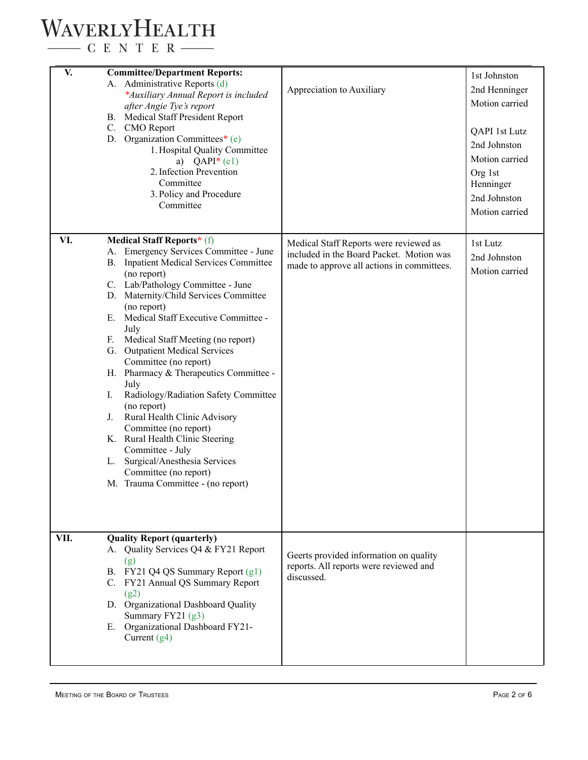# WAVERLYHEALTH

 $\begin{tabular}{c} \quad \quad \textbf{C} \textbf{E} \textbf{N} \textbf{T} \textbf{E} \textbf{R} \end{tabular}$ 

| V.   | <b>Committee/Department Reports:</b><br>A. Administrative Reports (d)<br>*Auxiliary Annual Report is included<br>after Angie Tye's report<br><b>B.</b> Medical Staff President Report<br>C. CMO Report<br>D. Organization Committees* (e)<br>1. Hospital Quality Committee<br>a) $QAPI^*(e1)$<br>2. Infection Prevention<br>Committee<br>3. Policy and Procedure<br>Committee                                                                                                                                                                                                                                                                                                                                                             | Appreciation to Auxiliary                                                                                                        | 1st Johnston<br>2nd Henninger<br>Motion carried<br>QAPI 1st Lutz<br>2nd Johnston<br>Motion carried<br>Org 1st<br>Henninger<br>2nd Johnston<br>Motion carried |
|------|-------------------------------------------------------------------------------------------------------------------------------------------------------------------------------------------------------------------------------------------------------------------------------------------------------------------------------------------------------------------------------------------------------------------------------------------------------------------------------------------------------------------------------------------------------------------------------------------------------------------------------------------------------------------------------------------------------------------------------------------|----------------------------------------------------------------------------------------------------------------------------------|--------------------------------------------------------------------------------------------------------------------------------------------------------------|
| VI.  | <b>Medical Staff Reports*</b> (f)<br>A. Emergency Services Committee - June<br>B. Inpatient Medical Services Committee<br>(no report)<br>C. Lab/Pathology Committee - June<br>D. Maternity/Child Services Committee<br>(no report)<br>E. Medical Staff Executive Committee -<br>July<br>F. Medical Staff Meeting (no report)<br>G. Outpatient Medical Services<br>Committee (no report)<br>H. Pharmacy & Therapeutics Committee -<br>July<br>Radiology/Radiation Safety Committee<br>I.<br>(no report)<br>Rural Health Clinic Advisory<br>$J_{\cdot}$<br>Committee (no report)<br>K. Rural Health Clinic Steering<br>Committee - July<br>Surgical/Anesthesia Services<br>L.<br>Committee (no report)<br>M. Trauma Committee - (no report) | Medical Staff Reports were reviewed as<br>included in the Board Packet. Motion was<br>made to approve all actions in committees. | 1st Lutz<br>2nd Johnston<br>Motion carried                                                                                                                   |
| VII. | <b>Quality Report (quarterly)</b><br>A. Quality Services Q4 & FY21 Report<br>(g)<br>B. FY21 Q4 QS Summary Report (g1)<br>C. FY21 Annual QS Summary Report<br>(g2)<br>D. Organizational Dashboard Quality<br>Summary FY21 (g3)<br>E. Organizational Dashboard FY21-<br>Current $(g4)$                                                                                                                                                                                                                                                                                                                                                                                                                                                      | Geerts provided information on quality<br>reports. All reports were reviewed and<br>discussed.                                   |                                                                                                                                                              |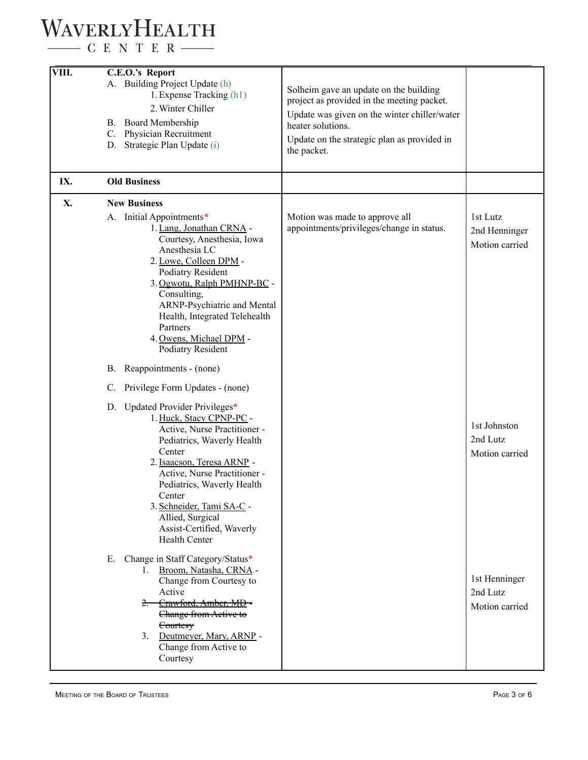# WAVERLYHEALTH

 $\begin{tabular}{c} \quad \quad \textbf{C} \textbf{E} \textbf{N} \textbf{T} \textbf{E} \textbf{R} \end{tabular}$ 

| VIII. | C.E.O.'s Report                                                                                                                                                                                                                                                                                                                                                                                                                                                                                                                                                                                                                                                                                                                                                                                                                         |                                                                                                                                                                                                                         |                                                                                           |
|-------|-----------------------------------------------------------------------------------------------------------------------------------------------------------------------------------------------------------------------------------------------------------------------------------------------------------------------------------------------------------------------------------------------------------------------------------------------------------------------------------------------------------------------------------------------------------------------------------------------------------------------------------------------------------------------------------------------------------------------------------------------------------------------------------------------------------------------------------------|-------------------------------------------------------------------------------------------------------------------------------------------------------------------------------------------------------------------------|-------------------------------------------------------------------------------------------|
|       | A. Building Project Update (h)<br>1. Expense Tracking (h1)<br>2. Winter Chiller<br>B. Board Membership<br>C. Physician Recruitment<br>D. Strategic Plan Update (i)                                                                                                                                                                                                                                                                                                                                                                                                                                                                                                                                                                                                                                                                      | Solheim gave an update on the building<br>project as provided in the meeting packet.<br>Update was given on the winter chiller/water<br>heater solutions.<br>Update on the strategic plan as provided in<br>the packet. |                                                                                           |
| IX.   | <b>Old Business</b>                                                                                                                                                                                                                                                                                                                                                                                                                                                                                                                                                                                                                                                                                                                                                                                                                     |                                                                                                                                                                                                                         |                                                                                           |
| X.    | <b>New Business</b><br>A. Initial Appointments*<br>1. Lang, Jonathan CRNA -<br>Courtesy, Anesthesia, Iowa<br>Anesthesia LC<br>2. Lowe, Colleen DPM -<br>Podiatry Resident<br>3. Ogwotu, Ralph PMHNP-BC -<br>Consulting,<br>ARNP-Psychiatric and Mental<br>Health, Integrated Telehealth<br>Partners<br>4. Owens, Michael DPM -<br><b>Podiatry Resident</b><br>B. Reappointments - (none)<br>Privilege Form Updates - (none)<br>$C_{\cdot}$<br>D. Updated Provider Privileges*<br>1. Huck, Stacy CPNP-PC -<br>Active, Nurse Practitioner -<br>Pediatrics, Waverly Health<br>Center<br>2. Isaacson, Teresa ARNP -<br>Active, Nurse Practitioner -<br>Pediatrics, Waverly Health<br>Center<br>3. Schneider, Tami SA-C -<br>Allied, Surgical<br>Assist-Certified, Waverly<br><b>Health Center</b><br>Change in Staff Category/Status*<br>Е. | Motion was made to approve all<br>appointments/privileges/change in status.                                                                                                                                             | 1st Lutz<br>2nd Henninger<br>Motion carried<br>1st Johnston<br>2nd Lutz<br>Motion carried |
|       | Broom, Natasha, CRNA -<br>1.<br>Change from Courtesy to<br>Active<br>2. Crawford, Amber, MD-<br>Change from Active to<br>Courtesy<br>Deutmeyer, Mary, ARNP -<br>3.<br>Change from Active to<br>Courtesy                                                                                                                                                                                                                                                                                                                                                                                                                                                                                                                                                                                                                                 |                                                                                                                                                                                                                         | 1st Henninger<br>2nd Lutz<br>Motion carried                                               |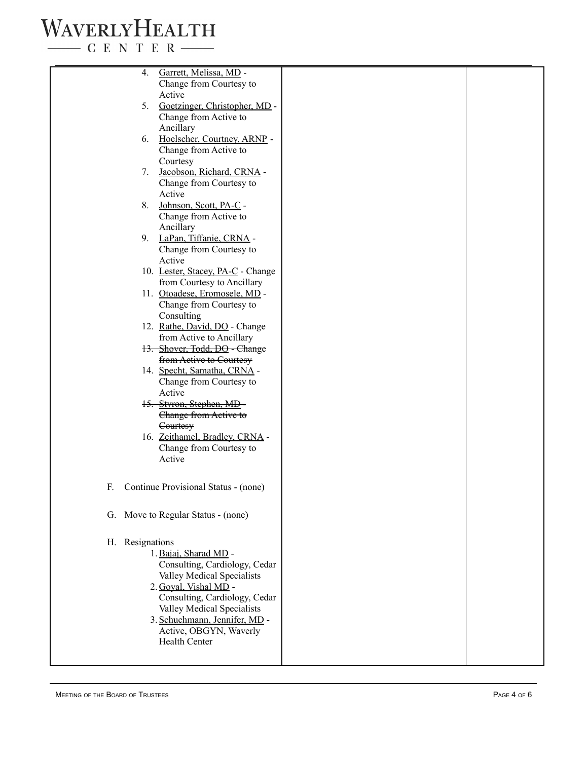# WAVERLYHEALTH

 $\begin{tabular}{c} \quad \quad \textbf{C} \text{ E} \text{ N} \text{ T} \text{ E} \text{ R} \end{tabular}$ 

| 4.              | Garrett, Melissa, MD -               |  |
|-----------------|--------------------------------------|--|
|                 | Change from Courtesy to              |  |
|                 | Active                               |  |
|                 |                                      |  |
| 5.              | Goetzinger, Christopher, MD -        |  |
|                 | Change from Active to                |  |
|                 | Ancillary                            |  |
| 6.              | Hoelscher, Courtney, ARNP -          |  |
|                 | Change from Active to                |  |
|                 |                                      |  |
|                 | Courtesy                             |  |
| 7.              | Jacobson, Richard, CRNA -            |  |
|                 | Change from Courtesy to              |  |
|                 | Active                               |  |
| 8.              | Johnson, Scott, PA-C -               |  |
|                 |                                      |  |
|                 | Change from Active to                |  |
|                 | Ancillary                            |  |
|                 | 9. LaPan, Tiffanie, CRNA -           |  |
|                 | Change from Courtesy to              |  |
|                 | Active                               |  |
|                 | 10. Lester, Stacey, PA-C - Change    |  |
|                 |                                      |  |
|                 | from Courtesy to Ancillary           |  |
|                 | 11. Otoadese, Eromosele, MD -        |  |
|                 | Change from Courtesy to              |  |
|                 | Consulting                           |  |
|                 | 12. Rathe, David, DO - Change        |  |
|                 | from Active to Ancillary             |  |
|                 | 13. Shover, Todd, DO - Change        |  |
|                 | from Active to Courtesy              |  |
|                 |                                      |  |
|                 | 14. Specht, Samatha, CRNA -          |  |
|                 | Change from Courtesy to              |  |
|                 | Active                               |  |
|                 | 15. Styron, Stephen, MD-             |  |
|                 | Change from Active to                |  |
|                 |                                      |  |
|                 | Courtesy                             |  |
|                 | 16. Zeithamel, Bradley, CRNA -       |  |
|                 | Change from Courtesy to              |  |
|                 | Active                               |  |
|                 |                                      |  |
|                 |                                      |  |
| F.              | Continue Provisional Status - (none) |  |
|                 |                                      |  |
|                 |                                      |  |
|                 | G. Move to Regular Status - (none)   |  |
|                 |                                      |  |
| H. Resignations |                                      |  |
|                 |                                      |  |
|                 | 1. Bajaj, Sharad MD -                |  |
|                 | Consulting, Cardiology, Cedar        |  |
|                 | Valley Medical Specialists           |  |
|                 | 2. Goval, Vishal MD -                |  |
|                 | Consulting, Cardiology, Cedar        |  |
|                 | Valley Medical Specialists           |  |
|                 |                                      |  |
|                 | 3. Schuchmann, Jennifer, MD -        |  |
|                 | Active, OBGYN, Waverly               |  |
|                 | <b>Health Center</b>                 |  |
|                 |                                      |  |
|                 |                                      |  |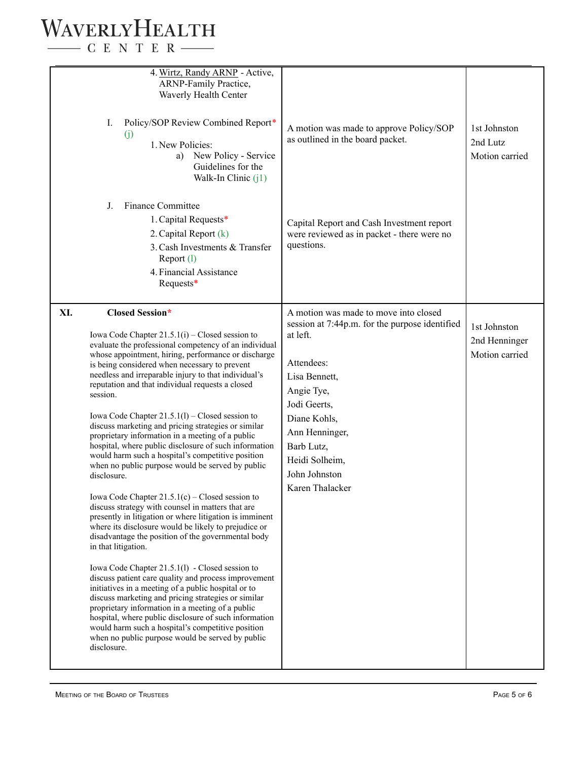### WAVERLYHEALTH  $\begin{tabular}{c} \quad \quad \textbf{C} \textbf{E} \textbf{N} \textbf{T} \textbf{E} \textbf{R} \end{tabular}$

|     | 4. Wirtz, Randy ARNP - Active,<br><b>ARNP-Family Practice,</b><br>Waverly Health Center<br>Policy/SOP Review Combined Report*<br>Ι.<br>(j)<br>1. New Policies:<br>New Policy - Service<br>a)<br>Guidelines for the<br>Walk-In Clinic $(i)$                                                                                                                                                                                                                                                                                                                                                                                                                                                                                                                                                                                                                                                                                                                                                                                                                                                                                                                                                                                                                                                                                                                                                                                                                                                    | A motion was made to approve Policy/SOP<br>as outlined in the board packet.                                                                                                                                                                                            | 1st Johnston<br>2nd Lutz<br>Motion carried      |
|-----|-----------------------------------------------------------------------------------------------------------------------------------------------------------------------------------------------------------------------------------------------------------------------------------------------------------------------------------------------------------------------------------------------------------------------------------------------------------------------------------------------------------------------------------------------------------------------------------------------------------------------------------------------------------------------------------------------------------------------------------------------------------------------------------------------------------------------------------------------------------------------------------------------------------------------------------------------------------------------------------------------------------------------------------------------------------------------------------------------------------------------------------------------------------------------------------------------------------------------------------------------------------------------------------------------------------------------------------------------------------------------------------------------------------------------------------------------------------------------------------------------|------------------------------------------------------------------------------------------------------------------------------------------------------------------------------------------------------------------------------------------------------------------------|-------------------------------------------------|
|     | <b>Finance Committee</b><br>J.<br>1. Capital Requests*<br>2. Capital Report (k)<br>3. Cash Investments & Transfer<br>Report (1)<br>4. Financial Assistance<br>Requests*                                                                                                                                                                                                                                                                                                                                                                                                                                                                                                                                                                                                                                                                                                                                                                                                                                                                                                                                                                                                                                                                                                                                                                                                                                                                                                                       | Capital Report and Cash Investment report<br>were reviewed as in packet - there were no<br>questions.                                                                                                                                                                  |                                                 |
| XI. | <b>Closed Session*</b><br>Iowa Code Chapter $21.5.1(i)$ – Closed session to<br>evaluate the professional competency of an individual<br>whose appointment, hiring, performance or discharge<br>is being considered when necessary to prevent<br>needless and irreparable injury to that individual's<br>reputation and that individual requests a closed<br>session.<br>Iowa Code Chapter $21.5.1(l)$ – Closed session to<br>discuss marketing and pricing strategies or similar<br>proprietary information in a meeting of a public<br>hospital, where public disclosure of such information<br>would harm such a hospital's competitive position<br>when no public purpose would be served by public<br>disclosure.<br>Iowa Code Chapter $21.5.1(c)$ – Closed session to<br>discuss strategy with counsel in matters that are<br>presently in litigation or where litigation is imminent<br>where its disclosure would be likely to prejudice or<br>disadvantage the position of the governmental body<br>in that litigation.<br>Iowa Code Chapter 21.5.1(1) - Closed session to<br>discuss patient care quality and process improvement<br>initiatives in a meeting of a public hospital or to<br>discuss marketing and pricing strategies or similar<br>proprietary information in a meeting of a public<br>hospital, where public disclosure of such information<br>would harm such a hospital's competitive position<br>when no public purpose would be served by public<br>disclosure. | A motion was made to move into closed<br>session at 7:44p.m. for the purpose identified<br>at left.<br>Attendees:<br>Lisa Bennett,<br>Angie Tye,<br>Jodi Geerts,<br>Diane Kohls,<br>Ann Henninger,<br>Barb Lutz,<br>Heidi Solheim,<br>John Johnston<br>Karen Thalacker | 1st Johnston<br>2nd Henninger<br>Motion carried |